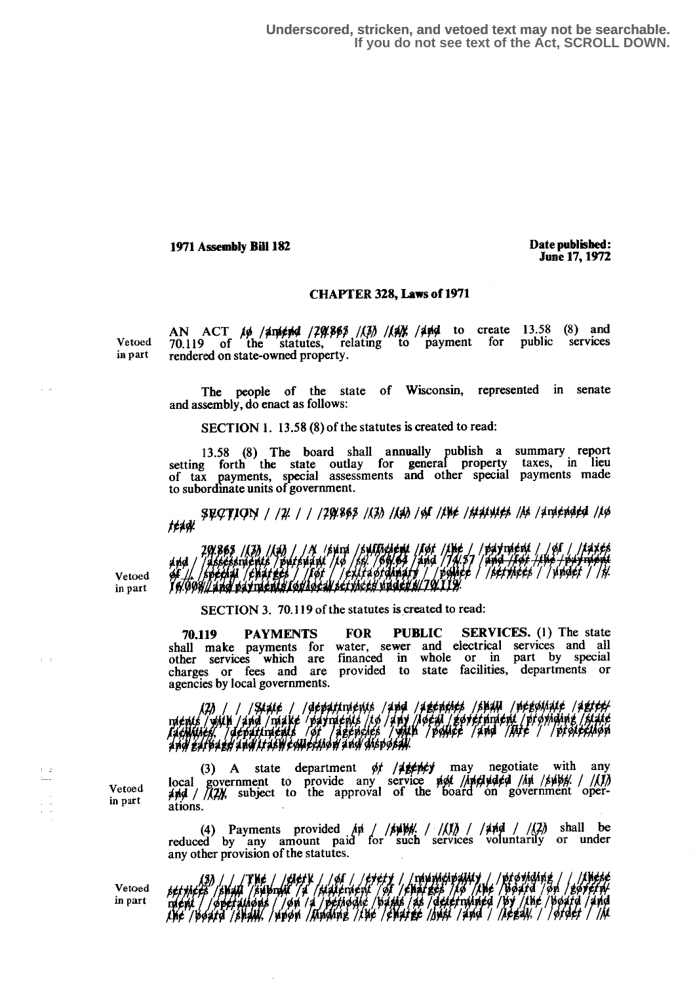**Underscored, stricken, and vetoed text may not be searchable. If you do not see text of the Act, SCROLL DOWN.**

1971 Assembly Bill 182

Date published: June 17,1972

## CHAPTER 328, Laws of 1971

AN ACT  $\mu$  / $\mu$  / $\mu$  / $\mu$  / $\mu$  / $\mu$  / $\mu$  / $\mu$  / $\mu$  to create 13.58 (8) and Vetoed 70.119 of the statutes, relating to payment for public services in part rendered on state-owned property.

> The people of the state of Wisconsin, represented in senate and assembly, do enact as follows:

SECTION 1. 13 .58 (8) of the statutes is created to read:

13.58 (8) The board shall annually publish a summary report setting forth the state outlay for general property taxes, in lieu of tax payments, special assessments and other special payments made to subordinate units of government.

\$QQTIQN *| |7| | | |7*9|\$68 *|(3)| |(4)| |6| |the |ftathies |is |*ariended *|l*g<br>teagl

árid / To 008/14 nd payments foulocal set thees under \$/70 119

SECTION 3. 70.119 of the statutes is created to read:

70.119 PAYMENTS FOR PUBLIC SERVICES. (1) The state payments for water, sewer and electrical services and all financed in whole or in part by special provided to state facilities, departments or shall make payments for other services which are charges or fees and are

agencies by local governments.<br>(2) / / /State / /departndents / duby /departness /shall /negotiate /detchine<br>ments /with /and /miake /payments /to /any /local /government /prominng /state<br>facilities, /departness / of /agen

(3) A state department  $\phi$  /**4 get /** may negotiate with any ~~a~ government to provide any service ~d~,f /~d#~l~¢ql /dyi /A~f]b,` . / /~(j'/~ subject to the approval of the board on government operations .

(4) Payments provided  $\mu / / \mu / / \mu / / \mu / / \mu$  shall be reduced by any amount paid for such services voluntarily or under any other provision of the statutes.

Vetoed *198 / XVIII / CHEFK / / OI*<br>Vetoed *bet thees / bhall / bhbrail / a / platerne* , INAC / /clerk / /cf / /cycry / /manmachosiaity / /srovia<br>44 /submail /s /statement /cf /chatese /fo /the /bost.<br>fainous / /chates /twelventy /tatels /as /description /by /tl<br>/subit/ /sacad /trading /the /subjec /and /and alendent /of /eharges /to /the /board /on /govern/<br>Litiaala /basis /as /daternimed /by /the /board /and  $\mu$ ia<br>India in part  $\frac{m}{\lambda}$  / operations / / on / a / petiodic / basis / 7. I I Jbi A 44 / A 14 / A 14 14 / 1

Vetoed in part

Vetoed in part